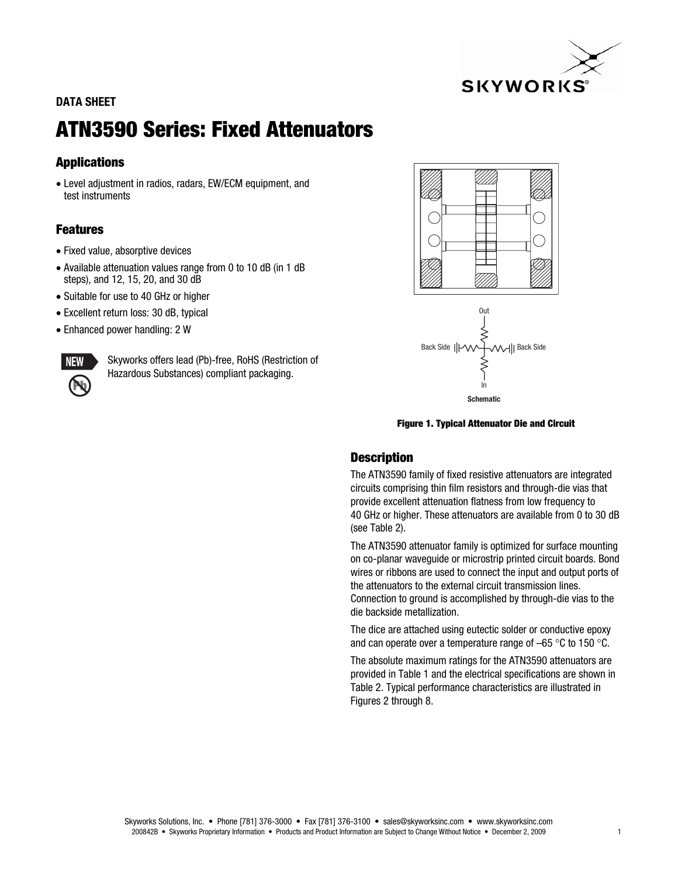

# **DATA SHEET**

# **ATN3590 Series: Fixed Attenuators**

# **Applications**

• Level adjustment in radios, radars, EW/ECM equipment, and test instruments

# **Features**

- Fixed value, absorptive devices
- Available attenuation values range from 0 to 10 dB (in 1 dB steps), and 12, 15, 20, and 30 dB
- Suitable for use to 40 GHz or higher
- Excellent return loss: 30 dB, typical
- Enhanced power handling: 2 W



Skyworks offers lead (Pb)-free, RoHS (Restriction of Hazardous Substances) compliant packaging.





**Figure 1. Typical Attenuator Die and Circuit** 

### **Description**

The ATN3590 family of fixed resistive attenuators are integrated circuits comprising thin film resistors and through-die vias that provide excellent attenuation flatness from low frequency to 40 GHz or higher. These attenuators are available from 0 to 30 dB (see Table 2).

The ATN3590 attenuator family is optimized for surface mounting on co-planar waveguide or microstrip printed circuit boards. Bond wires or ribbons are used to connect the input and output ports of the attenuators to the external circuit transmission lines. Connection to ground is accomplished by through-die vias to the die backside metallization.

The dice are attached using eutectic solder or conductive epoxy and can operate over a temperature range of  $-65$  °C to 150 °C.

The absolute maximum ratings for the ATN3590 attenuators are provided in Table 1 and the electrical specifications are shown in Table 2. Typical performance characteristics are illustrated in Figures 2 through 8.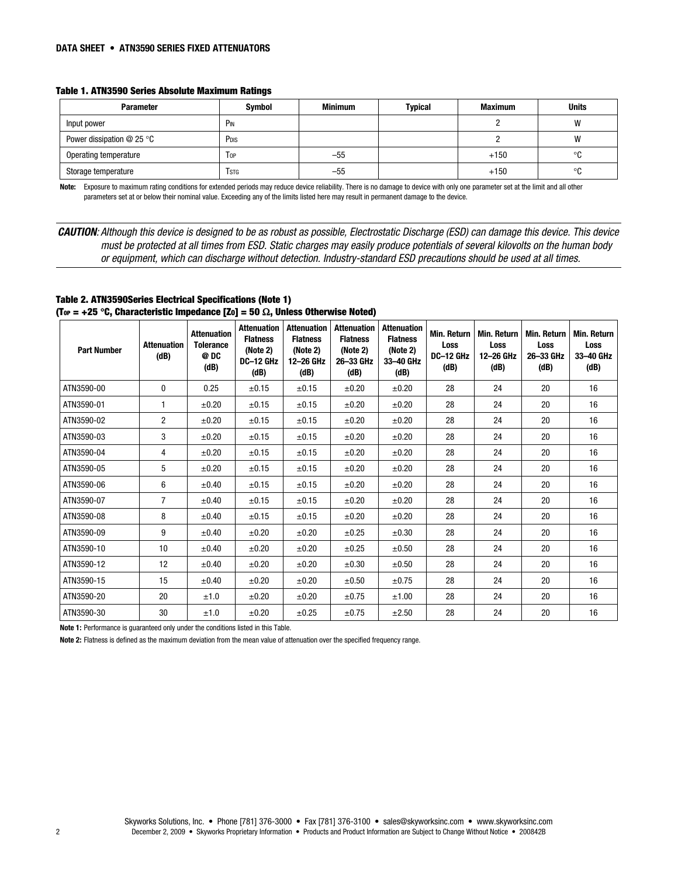| <b>Parameter</b>            | Symbol           | <b>Minimum</b> | Typical | <b>Maximum</b> | <b>Units</b> |  |
|-----------------------------|------------------|----------------|---------|----------------|--------------|--|
| Input power                 | P <sub>IN</sub>  |                |         |                | W            |  |
| Power dissipation $@$ 25 °C | P <sub>DIS</sub> |                |         |                | W            |  |
| Operating temperature       | l op             | $-55$          |         | $+150$         | $\circ$      |  |
| Storage temperature         | Tstg             | $-55$          |         | $+150$         | ൦ึ           |  |

**Note:** Exposure to maximum rating conditions for extended periods may reduce device reliability. There is no damage to device with only one parameter set at the limit and all other parameters set at or below their nominal value. Exceeding any of the limits listed here may result in permanent damage to the device.

*CAUTION*: Although this device is designed to be as robust as possible, Electrostatic Discharge (ESD) can damage this device. This device must be protected at all times from ESD. Static charges may easily produce potentials of several kilovolts on the human body or equipment, which can discharge without detection. Industry-standard ESD precautions should be used at all times.

**Table 2. ATN3590Series Electrical Specifications (Note 1) (TOP = +25** q**C, Characteristic Impedance [ZO] = 50** Ω**, Unless Otherwise Noted)** 

| <b>Part Number</b> | <b>Attenuation</b><br>(dB) | <b>Attenuation</b><br><b>Tolerance</b><br>@ DC<br>(dB) | <b>Attenuation</b><br><b>Flatness</b><br>(Note 2)<br>DC-12 GHz<br>(dB) | <b>Attenuation</b><br><b>Flatness</b><br>(Note 2)<br>12-26 GHz<br>(dB) | <b>Attenuation</b><br><b>Flatness</b><br>(Note 2)<br>26-33 GHz<br>(dB) | <b>Attenuation</b><br><b>Flatness</b><br>(Note 2)<br>33-40 GHz<br>(dB) | <b>Min. Return</b><br>Loss<br>DC-12 GHz<br>(dB) | <b>Min. Return</b><br><b>Loss</b><br>12-26 GHz<br>(dB) | <b>Min. Return</b><br>Loss<br>26-33 GHz<br>(dB) | <b>Min. Return</b><br><b>Loss</b><br>33-40 GHz<br>(dB) |
|--------------------|----------------------------|--------------------------------------------------------|------------------------------------------------------------------------|------------------------------------------------------------------------|------------------------------------------------------------------------|------------------------------------------------------------------------|-------------------------------------------------|--------------------------------------------------------|-------------------------------------------------|--------------------------------------------------------|
| ATN3590-00         | $\mathbf{0}$               | 0.25                                                   | $\pm 0.15$                                                             | $\pm 0.15$                                                             | $\pm 0.20$                                                             | ±0.20                                                                  | 28                                              | 24                                                     | 20                                              | 16                                                     |
| ATN3590-01         | 1                          | $\pm 0.20$                                             | $\pm 0.15$                                                             | $\pm 0.15$                                                             | $\pm 0.20$                                                             | $\pm 0.20$                                                             | 28                                              | 24                                                     | 20                                              | 16                                                     |
| ATN3590-02         | $\overline{c}$             | $\pm 0.20$                                             | $\pm 0.15$                                                             | $\pm 0.15$                                                             | $\pm 0.20$                                                             | $\pm 0.20$                                                             | 28                                              | 24                                                     | 20                                              | 16                                                     |
| ATN3590-03         | 3                          | $\pm 0.20$                                             | $\pm 0.15$                                                             | $\pm 0.15$                                                             | $\pm 0.20$                                                             | $\pm 0.20$                                                             | 28                                              | 24                                                     | 20                                              | 16                                                     |
| ATN3590-04         | 4                          | $\pm 0.20$                                             | $\pm 0.15$                                                             | $\pm 0.15$                                                             | $\pm 0.20$                                                             | ±0.20                                                                  | 28                                              | 24                                                     | 20                                              | 16                                                     |
| ATN3590-05         | 5                          | $\pm 0.20$                                             | $\pm 0.15$                                                             | $\pm 0.15$                                                             | $\pm 0.20$                                                             | ±0.20                                                                  | 28                                              | 24                                                     | 20                                              | 16                                                     |
| ATN3590-06         | 6                          | $\pm 0.40$                                             | $\pm 0.15$                                                             | $\pm 0.15$                                                             | $\pm 0.20$                                                             | ±0.20                                                                  | 28                                              | 24                                                     | 20                                              | 16                                                     |
| ATN3590-07         | $\overline{7}$             | $\pm 0.40$                                             | $\pm 0.15$                                                             | $\pm 0.15$                                                             | $\pm 0.20$                                                             | ±0.20                                                                  | 28                                              | 24                                                     | 20                                              | 16                                                     |
| ATN3590-08         | 8                          | $\pm 0.40$                                             | $\pm 0.15$                                                             | $\pm 0.15$                                                             | $\pm 0.20$                                                             | $\pm 0.20$                                                             | 28                                              | 24                                                     | 20                                              | 16                                                     |
| ATN3590-09         | 9                          | $\pm 0.40$                                             | $\pm 0.20$                                                             | ±0.20                                                                  | $\pm 0.25$                                                             | $\pm 0.30$                                                             | 28                                              | 24                                                     | 20                                              | 16                                                     |
| ATN3590-10         | 10                         | $\pm 0.40$                                             | $\pm 0.20$                                                             | ±0.20                                                                  | $\pm 0.25$                                                             | $\pm 0.50$                                                             | 28                                              | 24                                                     | 20                                              | 16                                                     |
| ATN3590-12         | 12                         | $\pm 0.40$                                             | $\pm 0.20$                                                             | $\pm 0.20$                                                             | $\pm 0.30$                                                             | $\pm 0.50$                                                             | 28                                              | 24                                                     | 20                                              | 16                                                     |
| ATN3590-15         | 15                         | $\pm 0.40$                                             | $\pm 0.20$                                                             | $\pm 0.20$                                                             | $\pm 0.50$                                                             | $\pm 0.75$                                                             | 28                                              | 24                                                     | 20                                              | 16                                                     |
| ATN3590-20         | 20                         | ±1.0                                                   | ±0.20                                                                  | ±0.20                                                                  | $\pm 0.75$                                                             | ±1.00                                                                  | 28                                              | 24                                                     | 20                                              | 16                                                     |
| ATN3590-30         | 30                         | ±1.0                                                   | ±0.20                                                                  | $\pm 0.25$                                                             | $\pm 0.75$                                                             | ±2.50                                                                  | 28                                              | 24                                                     | 20                                              | 16                                                     |

**Note 1:** Performance is guaranteed only under the conditions listed in this Table.

**Note 2:** Flatness is defined as the maximum deviation from the mean value of attenuation over the specified frequency range.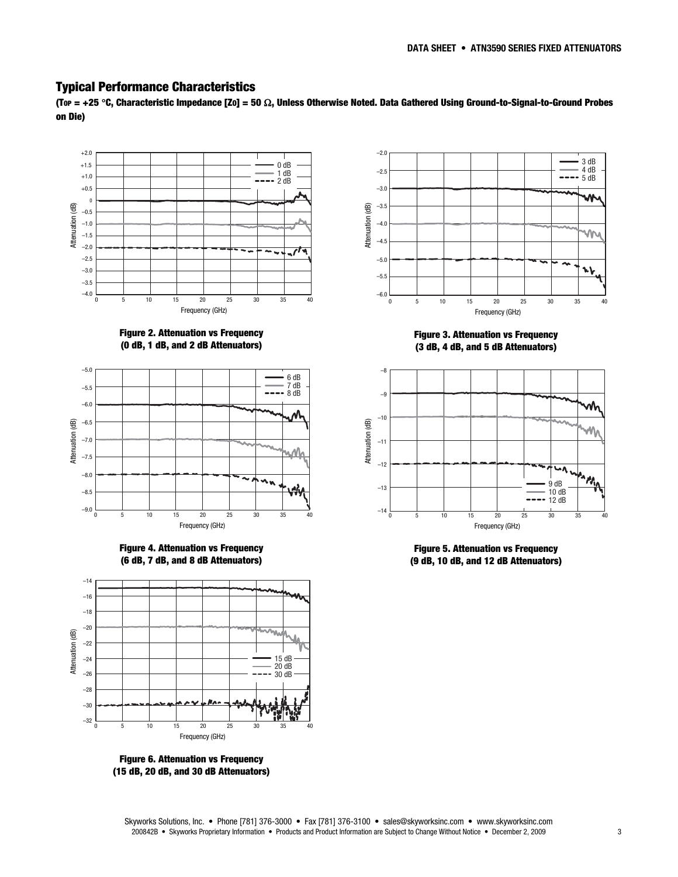#### **Typical Performance Characteristics**

**(TOP = +25** q**C, Characteristic Impedance [ZO] = 50** Ω**, Unless Otherwise Noted. Data Gathered Using Ground-to-Signal-to-Ground Probes on Die)** 



**Figure 2. Attenuation vs Frequency (0 dB, 1 dB, and 2 dB Attenuators)** 



**Figure 4. Attenuation vs Frequency (6 dB, 7 dB, and 8 dB Attenuators)** 



**Figure 6. Attenuation vs Frequency (15 dB, 20 dB, and 30 dB Attenuators)** 



**Figure 3. Attenuation vs Frequency (3 dB, 4 dB, and 5 dB Attenuators)** 



**Figure 5. Attenuation vs Frequency (9 dB, 10 dB, and 12 dB Attenuators)**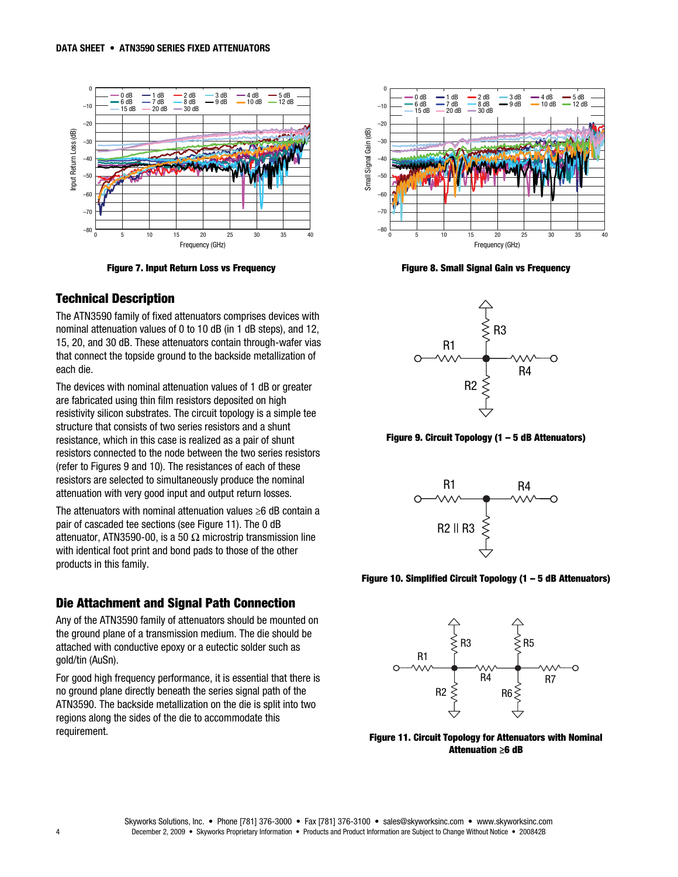

**Figure 7. Input Return Loss vs Frequency** 

#### **Technical Description**

The ATN3590 family of fixed attenuators comprises devices with nominal attenuation values of 0 to 10 dB (in 1 dB steps), and 12, 15, 20, and 30 dB. These attenuators contain through-wafer vias that connect the topside ground to the backside metallization of each die.

The devices with nominal attenuation values of 1 dB or greater are fabricated using thin film resistors deposited on high resistivity silicon substrates. The circuit topology is a simple tee structure that consists of two series resistors and a shunt resistance, which in this case is realized as a pair of shunt resistors connected to the node between the two series resistors (refer to Figures 9 and 10). The resistances of each of these resistors are selected to simultaneously produce the nominal attenuation with very good input and output return losses.

The attenuators with nominal attenuation values ≥6 dB contain a pair of cascaded tee sections (see Figure 11). The 0 dB attenuator, ATN3590-00, is a 50  $\Omega$  microstrip transmission line with identical foot print and bond pads to those of the other products in this family.

#### **Die Attachment and Signal Path Connection**

Any of the ATN3590 family of attenuators should be mounted on the ground plane of a transmission medium. The die should be attached with conductive epoxy or a eutectic solder such as gold/tin (AuSn).

For good high frequency performance, it is essential that there is no ground plane directly beneath the series signal path of the ATN3590. The backside metallization on the die is split into two regions along the sides of the die to accommodate this requirement.



**Figure 8. Small Signal Gain vs Frequency** 



**Figure 9. Circuit Topology (1 – 5 dB Attenuators)** 



**Figure 10. Simplified Circuit Topology (1 – 5 dB Attenuators)** 



**Figure 11. Circuit Topology for Attenuators with Nominal Attenuation ≥6 dB**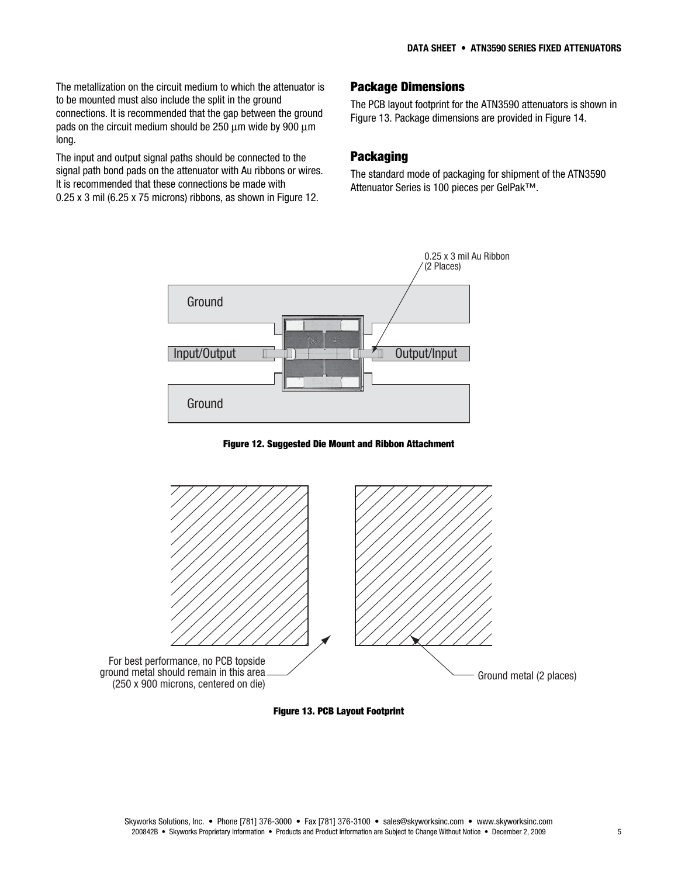The metallization on the circuit medium to which the attenuator is to be mounted must also include the split in the ground connections. It is recommended that the gap between the ground pads on the circuit medium should be 250 μm wide by 900 μm long.

The input and output signal paths should be connected to the signal path bond pads on the attenuator with Au ribbons or wires. It is recommended that these connections be made with 0.25 x 3 mil (6.25 x 75 microns) ribbons, as shown in Figure 12.

# **Package Dimensions**

The PCB layout footprint for the ATN3590 attenuators is shown in Figure 13. Package dimensions are provided in Figure 14.

#### **Packaging**

The standard mode of packaging for shipment of the ATN3590 Attenuator Series is 100 pieces per GelPak™.



**Figure 12. Suggested Die Mount and Ribbon Attachment** 



**Figure 13. PCB Layout Footprint**